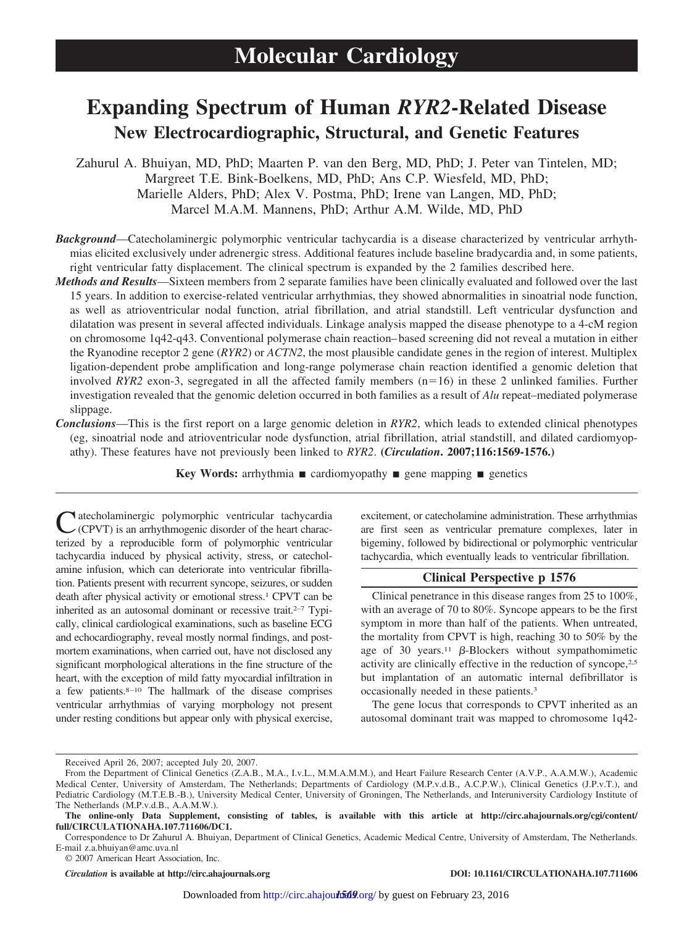# **Expanding Spectrum of Human** *RYR2***-Related Disease New Electrocardiographic, Structural, and Genetic Features**

Zahurul A. Bhuiyan, MD, PhD; Maarten P. van den Berg, MD, PhD; J. Peter van Tintelen, MD; Margreet T.E. Bink-Boelkens, MD, PhD; Ans C.P. Wiesfeld, MD, PhD; Marielle Alders, PhD; Alex V. Postma, PhD; Irene van Langen, MD, PhD; Marcel M.A.M. Mannens, PhD; Arthur A.M. Wilde, MD, PhD

*Background*—Catecholaminergic polymorphic ventricular tachycardia is a disease characterized by ventricular arrhythmias elicited exclusively under adrenergic stress. Additional features include baseline bradycardia and, in some patients, right ventricular fatty displacement. The clinical spectrum is expanded by the 2 families described here.

- *Methods and Results*—Sixteen members from 2 separate families have been clinically evaluated and followed over the last 15 years. In addition to exercise-related ventricular arrhythmias, they showed abnormalities in sinoatrial node function, as well as atrioventricular nodal function, atrial fibrillation, and atrial standstill. Left ventricular dysfunction and dilatation was present in several affected individuals. Linkage analysis mapped the disease phenotype to a 4-cM region on chromosome 1q42-q43. Conventional polymerase chain reaction– based screening did not reveal a mutation in either the Ryanodine receptor 2 gene (*RYR2*) or *ACTN2*, the most plausible candidate genes in the region of interest. Multiplex ligation-dependent probe amplification and long-range polymerase chain reaction identified a genomic deletion that involved *RYR2* exon-3, segregated in all the affected family members  $(n=16)$  in these 2 unlinked families. Further investigation revealed that the genomic deletion occurred in both families as a result of *Alu* repeat–mediated polymerase slippage.
- *Conclusions*—This is the first report on a large genomic deletion in *RYR2*, which leads to extended clinical phenotypes (eg, sinoatrial node and atrioventricular node dysfunction, atrial fibrillation, atrial standstill, and dilated cardiomyopathy). These features have not previously been linked to *RYR2*. **(***Circulation***. 2007;116:1569-1576.)**

**Key Words:** arrhythmia  $\blacksquare$  cardiomyopathy  $\blacksquare$  gene mapping  $\blacksquare$  genetics

vatecholaminergic polymorphic ventricular tachycardia (CPVT) is an arrhythmogenic disorder of the heart characterized by a reproducible form of polymorphic ventricular tachycardia induced by physical activity, stress, or catecholamine infusion, which can deteriorate into ventricular fibrillation. Patients present with recurrent syncope, seizures, or sudden death after physical activity or emotional stress.<sup>1</sup> CPVT can be inherited as an autosomal dominant or recessive trait.<sup>2–7</sup> Typically, clinical cardiological examinations, such as baseline ECG and echocardiography, reveal mostly normal findings, and postmortem examinations, when carried out, have not disclosed any significant morphological alterations in the fine structure of the heart, with the exception of mild fatty myocardial infiltration in a few patients.<sup>8-10</sup> The hallmark of the disease comprises ventricular arrhythmias of varying morphology not present under resting conditions but appear only with physical exercise,

excitement, or catecholamine administration. These arrhythmias are first seen as ventricular premature complexes, later in bigeminy, followed by bidirectional or polymorphic ventricular tachycardia, which eventually leads to ventricular fibrillation.

# **Clinical Perspective p 1576**

Clinical penetrance in this disease ranges from 25 to 100%, with an average of 70 to 80%. Syncope appears to be the first symptom in more than half of the patients. When untreated, the mortality from CPVT is high, reaching 30 to 50% by the age of 30 years.<sup>11</sup>  $\beta$ -Blockers without sympathomimetic activity are clinically effective in the reduction of syncope,2,5 but implantation of an automatic internal defibrillator is occasionally needed in these patients.3

The gene locus that corresponds to CPVT inherited as an autosomal dominant trait was mapped to chromosome 1q42-

© 2007 American Heart Association, Inc.

Received April 26, 2007; accepted July 20, 2007.

From the Department of Clinical Genetics (Z.A.B., M.A., I.v.L., M.M.A.M.M.), and Heart Failure Research Center (A.V.P., A.A.M.W.), Academic Medical Center, University of Amsterdam, The Netherlands; Departments of Cardiology (M.P.v.d.B., A.C.P.W.), Clinical Genetics (J.P.v.T.), and Pediatric Cardiology (M.T.E.B.-B.), University Medical Center, University of Groningen, The Netherlands, and Interuniversity Cardiology Institute of The Netherlands (M.P.v.d.B., A.A.M.W.).

**The online-only Data Supplement, consisting of tables, is available with this article at http://circ.ahajournals.org/cgi/content/ full/CIRCULATIONAHA.107.711606/DC1.**

Correspondence to Dr Zahurul A. Bhuiyan, Department of Clinical Genetics, Academic Medical Centre, University of Amsterdam, The Netherlands. E-mail z.a.bhuiyan@amc.uva.nl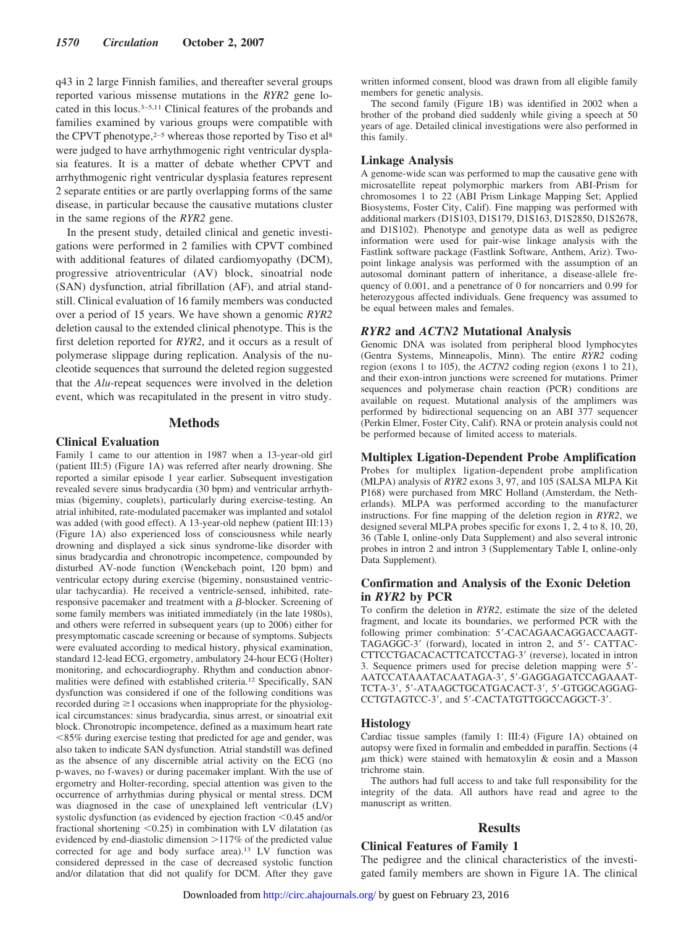q43 in 2 large Finnish families, and thereafter several groups reported various missense mutations in the *RYR2* gene located in this locus.3–5,11 Clinical features of the probands and families examined by various groups were compatible with the CPVT phenotype, $2-5$  whereas those reported by Tiso et al<sup>8</sup> were judged to have arrhythmogenic right ventricular dysplasia features. It is a matter of debate whether CPVT and arrhythmogenic right ventricular dysplasia features represent 2 separate entities or are partly overlapping forms of the same disease, in particular because the causative mutations cluster in the same regions of the *RYR2* gene.

In the present study, detailed clinical and genetic investigations were performed in 2 families with CPVT combined with additional features of dilated cardiomyopathy (DCM), progressive atrioventricular (AV) block, sinoatrial node (SAN) dysfunction, atrial fibrillation (AF), and atrial standstill. Clinical evaluation of 16 family members was conducted over a period of 15 years. We have shown a genomic *RYR2* deletion causal to the extended clinical phenotype. This is the first deletion reported for *RYR2*, and it occurs as a result of polymerase slippage during replication. Analysis of the nucleotide sequences that surround the deleted region suggested that the *Alu*-repeat sequences were involved in the deletion event, which was recapitulated in the present in vitro study.

# **Methods**

#### **Clinical Evaluation**

Family 1 came to our attention in 1987 when a 13-year-old girl (patient III:5) (Figure 1A) was referred after nearly drowning. She reported a similar episode 1 year earlier. Subsequent investigation revealed severe sinus bradycardia (30 bpm) and ventricular arrhythmias (bigeminy, couplets), particularly during exercise-testing. An atrial inhibited, rate-modulated pacemaker was implanted and sotalol was added (with good effect). A 13-year-old nephew (patient III:13) (Figure 1A) also experienced loss of consciousness while nearly drowning and displayed a sick sinus syndrome-like disorder with sinus bradycardia and chronotropic incompetence, compounded by disturbed AV-node function (Wenckebach point, 120 bpm) and ventricular ectopy during exercise (bigeminy, nonsustained ventricular tachycardia). He received a ventricle-sensed, inhibited, rateresponsive pacemaker and treatment with a  $\beta$ -blocker. Screening of some family members was initiated immediately (in the late 1980s), and others were referred in subsequent years (up to 2006) either for presymptomatic cascade screening or because of symptoms. Subjects were evaluated according to medical history, physical examination, standard 12-lead ECG, ergometry, ambulatory 24-hour ECG (Holter) monitoring, and echocardiography. Rhythm and conduction abnormalities were defined with established criteria.12 Specifically, SAN dysfunction was considered if one of the following conditions was recorded during  $\geq 1$  occasions when inappropriate for the physiological circumstances: sinus bradycardia, sinus arrest, or sinoatrial exit block. Chronotropic incompetence, defined as a maximum heart rate -85% during exercise testing that predicted for age and gender, was also taken to indicate SAN dysfunction. Atrial standstill was defined as the absence of any discernible atrial activity on the ECG (no p-waves, no f-waves) or during pacemaker implant. With the use of ergometry and Holter-recording, special attention was given to the occurrence of arrhythmias during physical or mental stress. DCM was diagnosed in the case of unexplained left ventricular (LV) systolic dysfunction (as evidenced by ejection fraction <0.45 and/or fractional shortening  $\leq 0.25$ ) in combination with LV dilatation (as evidenced by end-diastolic dimension  $>117\%$  of the predicted value corrected for age and body surface area).13 LV function was considered depressed in the case of decreased systolic function and/or dilatation that did not qualify for DCM. After they gave written informed consent, blood was drawn from all eligible family members for genetic analysis.

The second family (Figure 1B) was identified in 2002 when a brother of the proband died suddenly while giving a speech at 50 years of age. Detailed clinical investigations were also performed in this family.

#### **Linkage Analysis**

A genome-wide scan was performed to map the causative gene with microsatellite repeat polymorphic markers from ABI-Prism for chromosomes 1 to 22 (ABI Prism Linkage Mapping Set; Applied Biosystems, Foster City, Calif). Fine mapping was performed with additional markers (D1S103, D1S179, D1S163, D1S2850, D1S2678, and D1S102). Phenotype and genotype data as well as pedigree information were used for pair-wise linkage analysis with the Fastlink software package (Fastlink Software, Anthem, Ariz). Twopoint linkage analysis was performed with the assumption of an autosomal dominant pattern of inheritance, a disease-allele frequency of 0.001, and a penetrance of 0 for noncarriers and 0.99 for heterozygous affected individuals. Gene frequency was assumed to be equal between males and females.

#### *RYR2* **and** *ACTN2* **Mutational Analysis**

Genomic DNA was isolated from peripheral blood lymphocytes (Gentra Systems, Minneapolis, Minn). The entire *RYR2* coding region (exons 1 to 105), the *ACTN2* coding region (exons 1 to 21), and their exon-intron junctions were screened for mutations. Primer sequences and polymerase chain reaction (PCR) conditions are available on request. Mutational analysis of the amplimers was performed by bidirectional sequencing on an ABI 377 sequencer (Perkin Elmer, Foster City, Calif). RNA or protein analysis could not be performed because of limited access to materials.

#### **Multiplex Ligation-Dependent Probe Amplification**

Probes for multiplex ligation-dependent probe amplification (MLPA) analysis of *RYR2* exons 3, 97, and 105 (SALSA MLPA Kit P168) were purchased from MRC Holland (Amsterdam, the Netherlands). MLPA was performed according to the manufacturer instructions. For fine mapping of the deletion region in *RYR2*, we designed several MLPA probes specific for exons 1, 2, 4 to 8, 10, 20, 36 (Table I, online-only Data Supplement) and also several intronic probes in intron 2 and intron 3 (Supplementary Table I, online-only Data Supplement).

# **Confirmation and Analysis of the Exonic Deletion in** *RYR2* **by PCR**

To confirm the deletion in *RYR2*, estimate the size of the deleted fragment, and locate its boundaries, we performed PCR with the following primer combination: 5'-CACAGAACAGGACCAAGT-TAGAGGC-3' (forward), located in intron 2, and 5'- CATTAC-CTTCCTGACACACTTCATCCTAG-3' (reverse), located in intron 3. Sequence primers used for precise deletion mapping were 5- AATCCATAAATACAATAGA-3, 5-GAGGAGATCCAGAAAT-TCTA-3', 5'-ATAAGCTGCATGACACT-3', 5'-GTGGCAGGAG-CCTGTAGTCC-3', and 5'-CACTATGTTGGCCAGGCT-3'.

#### **Histology**

Cardiac tissue samples (family 1: III:4) (Figure 1A) obtained on autopsy were fixed in formalin and embedded in paraffin. Sections (4  $\mu$ m thick) were stained with hematoxylin & eosin and a Masson trichrome stain.

The authors had full access to and take full responsibility for the integrity of the data. All authors have read and agree to the manuscript as written.

#### **Results**

#### **Clinical Features of Family 1**

The pedigree and the clinical characteristics of the investigated family members are shown in Figure 1A. The clinical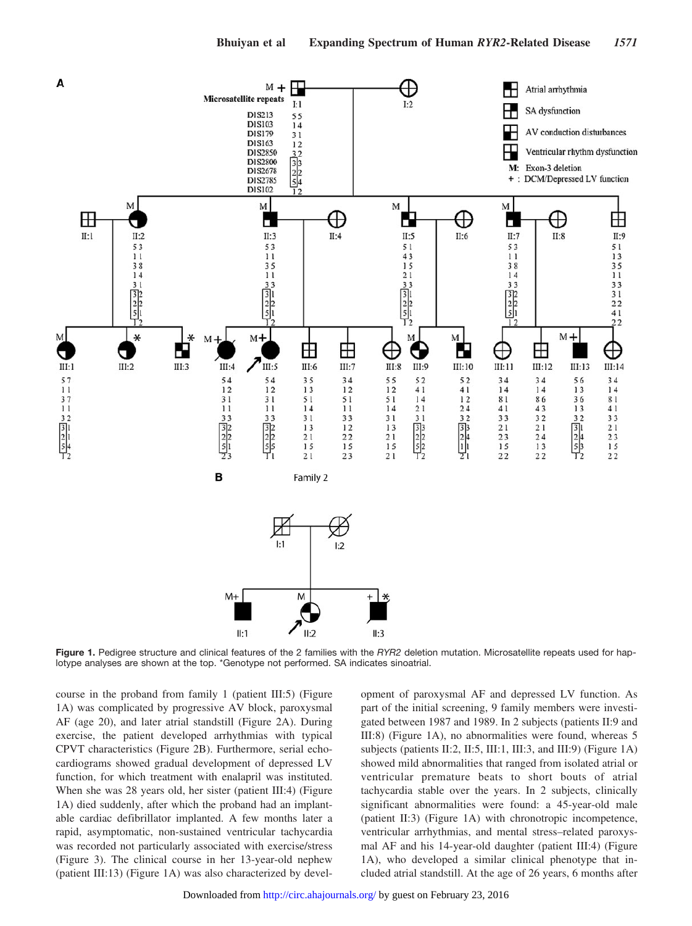

**Figure 1.** Pedigree structure and clinical features of the 2 families with the *RYR2* deletion mutation. Microsatellite repeats used for haplotype analyses are shown at the top. \*Genotype not performed. SA indicates sinoatrial.

course in the proband from family 1 (patient III:5) (Figure 1A) was complicated by progressive AV block, paroxysmal AF (age 20), and later atrial standstill (Figure 2A). During exercise, the patient developed arrhythmias with typical CPVT characteristics (Figure 2B). Furthermore, serial echocardiograms showed gradual development of depressed LV function, for which treatment with enalapril was instituted. When she was 28 years old, her sister (patient III:4) (Figure 1A) died suddenly, after which the proband had an implantable cardiac defibrillator implanted. A few months later a rapid, asymptomatic, non-sustained ventricular tachycardia was recorded not particularly associated with exercise/stress (Figure 3). The clinical course in her 13-year-old nephew (patient III:13) (Figure 1A) was also characterized by devel-

opment of paroxysmal AF and depressed LV function. As part of the initial screening, 9 family members were investigated between 1987 and 1989. In 2 subjects (patients II:9 and III:8) (Figure 1A), no abnormalities were found, whereas 5 subjects (patients II:2, II:5, III:1, III:3, and III:9) (Figure 1A) showed mild abnormalities that ranged from isolated atrial or ventricular premature beats to short bouts of atrial tachycardia stable over the years. In 2 subjects, clinically significant abnormalities were found: a 45-year-old male (patient II:3) (Figure 1A) with chronotropic incompetence, ventricular arrhythmias, and mental stress–related paroxysmal AF and his 14-year-old daughter (patient III:4) (Figure 1A), who developed a similar clinical phenotype that included atrial standstill. At the age of 26 years, 6 months after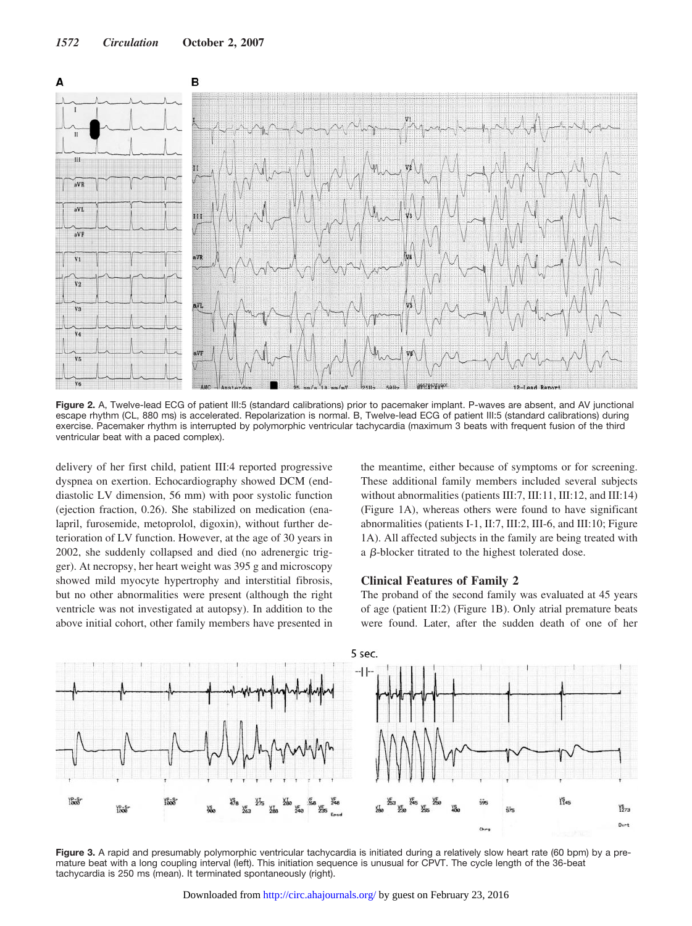

**Figure 2.** A, Twelve-lead ECG of patient III:5 (standard calibrations) prior to pacemaker implant. P-waves are absent, and AV junctional escape rhythm (CL, 880 ms) is accelerated. Repolarization is normal. B, Twelve-lead ECG of patient III:5 (standard calibrations) during exercise. Pacemaker rhythm is interrupted by polymorphic ventricular tachycardia (maximum 3 beats with frequent fusion of the third ventricular beat with a paced complex).

delivery of her first child, patient III:4 reported progressive dyspnea on exertion. Echocardiography showed DCM (enddiastolic LV dimension, 56 mm) with poor systolic function (ejection fraction, 0.26). She stabilized on medication (enalapril, furosemide, metoprolol, digoxin), without further deterioration of LV function. However, at the age of 30 years in 2002, she suddenly collapsed and died (no adrenergic trigger). At necropsy, her heart weight was 395 g and microscopy showed mild myocyte hypertrophy and interstitial fibrosis, but no other abnormalities were present (although the right ventricle was not investigated at autopsy). In addition to the above initial cohort, other family members have presented in the meantime, either because of symptoms or for screening. These additional family members included several subjects without abnormalities (patients III:7, III:11, III:12, and III:14) (Figure 1A), whereas others were found to have significant abnormalities (patients I-1, II:7, III:2, III-6, and III:10; Figure 1A). All affected subjects in the family are being treated with a  $\beta$ -blocker titrated to the highest tolerated dose.

# **Clinical Features of Family 2**

The proband of the second family was evaluated at 45 years of age (patient II:2) (Figure 1B). Only atrial premature beats were found. Later, after the sudden death of one of her



Figure 3. A rapid and presumably polymorphic ventricular tachycardia is initiated during a relatively slow heart rate (60 bpm) by a premature beat with a long coupling interval (left). This initiation sequence is unusual for CPVT. The cycle length of the 36-beat tachycardia is 250 ms (mean). It terminated spontaneously (right).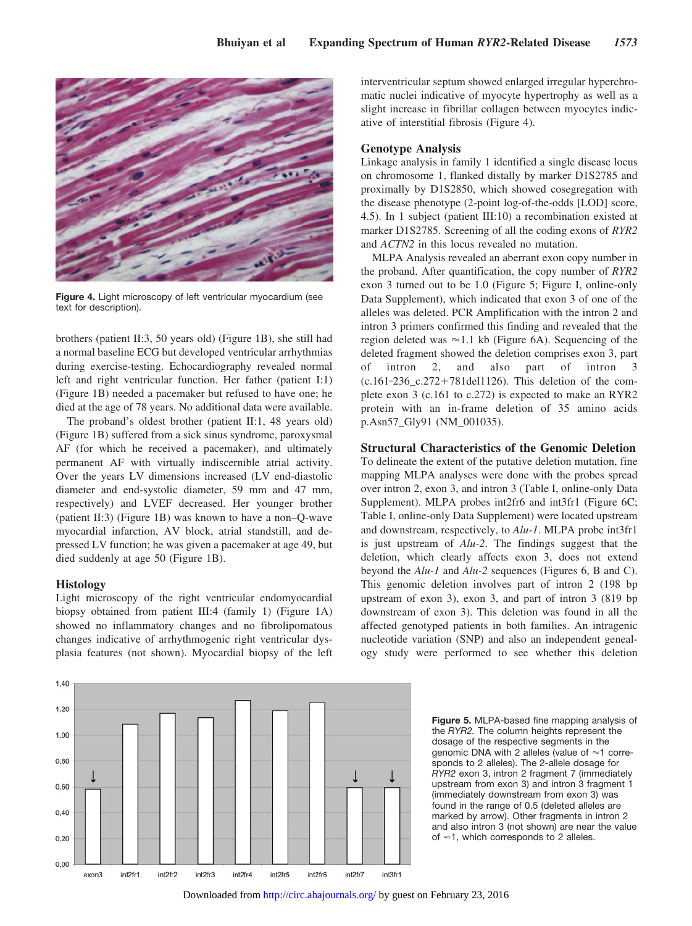

**Figure 4.** Light microscopy of left ventricular myocardium (see text for description).

brothers (patient II:3, 50 years old) (Figure 1B), she still had a normal baseline ECG but developed ventricular arrhythmias during exercise-testing. Echocardiography revealed normal left and right ventricular function. Her father (patient I:1) (Figure 1B) needed a pacemaker but refused to have one; he died at the age of 78 years. No additional data were available.

The proband's oldest brother (patient II:1, 48 years old) (Figure 1B) suffered from a sick sinus syndrome, paroxysmal AF (for which he received a pacemaker), and ultimately permanent AF with virtually indiscernible atrial activity. Over the years LV dimensions increased (LV end-diastolic diameter and end-systolic diameter, 59 mm and 47 mm, respectively) and LVEF decreased. Her younger brother (patient II:3) (Figure 1B) was known to have a non–Q-wave myocardial infarction, AV block, atrial standstill, and depressed LV function; he was given a pacemaker at age 49, but died suddenly at age 50 (Figure 1B).

#### **Histology**

Light microscopy of the right ventricular endomyocardial biopsy obtained from patient III:4 (family 1) (Figure 1A) showed no inflammatory changes and no fibrolipomatous changes indicative of arrhythmogenic right ventricular dysplasia features (not shown). Myocardial biopsy of the left interventricular septum showed enlarged irregular hyperchromatic nuclei indicative of myocyte hypertrophy as well as a slight increase in fibrillar collagen between myocytes indicative of interstitial fibrosis (Figure 4).

#### **Genotype Analysis**

Linkage analysis in family 1 identified a single disease locus on chromosome 1, flanked distally by marker D1S2785 and proximally by D1S2850, which showed cosegregation with the disease phenotype (2-point log-of-the-odds [LOD] score, 4.5). In 1 subject (patient III:10) a recombination existed at marker D1S2785. Screening of all the coding exons of *RYR2* and *ACTN2* in this locus revealed no mutation.

MLPA Analysis revealed an aberrant exon copy number in the proband. After quantification, the copy number of *RYR2* exon 3 turned out to be 1.0 (Figure 5; Figure I, online-only Data Supplement), which indicated that exon 3 of one of the alleles was deleted. PCR Amplification with the intron 2 and intron 3 primers confirmed this finding and revealed that the region deleted was  $\approx$  1.1 kb (Figure 6A). Sequencing of the deleted fragment showed the deletion comprises exon 3, part intron 2, and also part of intron 3  $(c.161-236_c.272+781del1126)$ . This deletion of the complete exon 3 (c.161 to c.272) is expected to make an RYR2 protein with an in-frame deletion of 35 amino acids p.Asn57\_Gly91 (NM\_001035).

#### **Structural Characteristics of the Genomic Deletion**

To delineate the extent of the putative deletion mutation, fine mapping MLPA analyses were done with the probes spread over intron 2, exon 3, and intron 3 (Table I, online-only Data Supplement). MLPA probes int2fr6 and int3fr1 (Figure 6C; Table I, online-only Data Supplement) were located upstream and downstream, respectively, to *Alu-1*. MLPA probe int3fr1 is just upstream of *Alu-2*. The findings suggest that the deletion, which clearly affects exon 3, does not extend beyond the *Alu-1* and *Alu-2* sequences (Figures 6, B and C). This genomic deletion involves part of intron 2 (198 bp upstream of exon 3), exon 3, and part of intron 3 (819 bp downstream of exon 3). This deletion was found in all the affected genotyped patients in both families. An intragenic nucleotide variation (SNP) and also an independent genealogy study were performed to see whether this deletion



**Figure 5.** MLPA-based fine mapping analysis of the *RYR2.* The column heights represent the dosage of the respective segments in the genomic DNA with 2 alleles (value of  $\approx$  1 corresponds to 2 alleles). The 2-allele dosage for *RYR2* exon 3, intron 2 fragment 7 (immediately upstream from exon 3) and intron 3 fragment 1 (immediately downstream from exon 3) was found in the range of 0.5 (deleted alleles are marked by arrow). Other fragments in intron 2 and also intron 3 (not shown) are near the value of  $\approx$  1, which corresponds to 2 alleles.

Downloaded from<http://circ.ahajournals.org/>by guest on February 23, 2016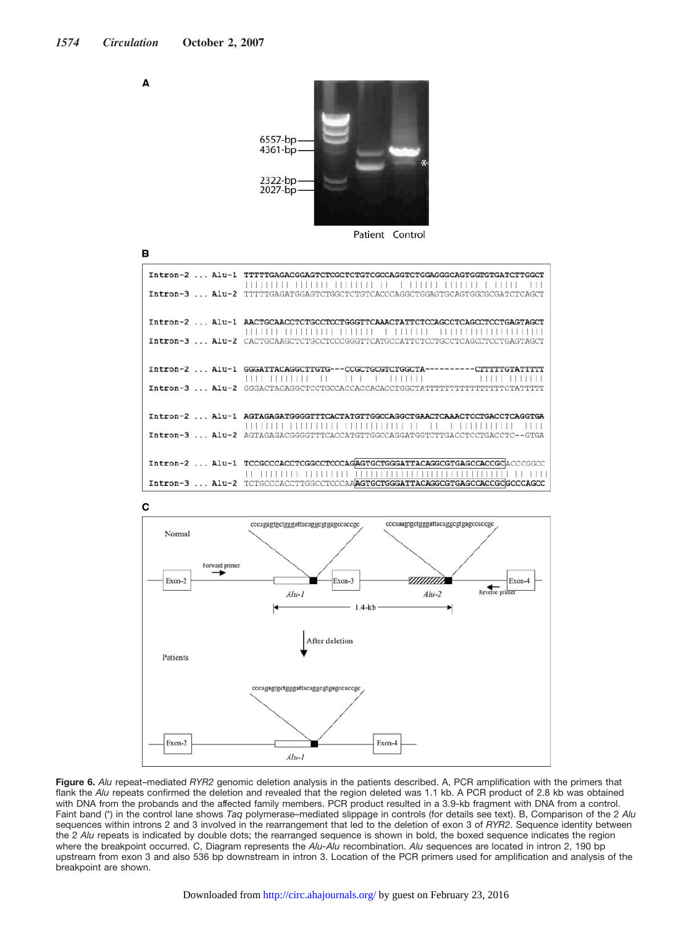Α

в



Patient Control

| $Intron-2$ $All-1$ | TTTTTGAGACGGAGTCTCGCTCTGTCGCCAGGTCTGGAGGGCAGTGGTGTGATCTTGGCT<br>$\pm 1$                                                                                                          |
|--------------------|----------------------------------------------------------------------------------------------------------------------------------------------------------------------------------|
|                    | Intron-3  Alu-2 TTTTTGAGATGGAGTCTGGCTCTGTCACCCAGGCTGGAGTGCAGTGGCGCGATCTCAGCT                                                                                                     |
|                    | Intron-2  Alu-1 AACTGCAACCTCTGCCTCCTGGGTTCAAACTATTCTCCAGCCTCAGCCTCCTGAGTAGCT<br>,,,,,,,                                                                                          |
|                    | Intron-3  Alu-2 CACTGCAAGCTCTGCCTCCCGGGTTCATGCCATTCTCCTGCCTCAGCCTCCTGAGTAGCT                                                                                                     |
|                    | $\mathbf{A}$ and $\mathbf{A}$ and $\mathbf{A}$ and $\mathbf{A}$<br>a Nasara Inggris dan sama tahun 1980. Sebagai penganjurutan sain dan sain dan sain dan sain dan sain dan sain |
|                    |                                                                                                                                                                                  |
|                    | Intron-2  Alu-1 AGTAGAGATGGGGTTTCACTATGTTGGCCAGGCTGAACTCAAACTCCTGACCTCAGGTGA                                                                                                     |
|                    | Intron-3  Alu-2 AGTAGAGACGGGTTTCACCATGTTGGCCAGGATGGTCTTGACCTCCTGACCTC--GTGA                                                                                                      |
|                    |                                                                                                                                                                                  |
|                    |                                                                                                                                                                                  |
|                    | Intron-3  Alu-2 TCTGCCCACCTTGGCCTCCCAAAGTGCTGGGATTACAGGCGTGAGCCACCGCGCCCAGCC                                                                                                     |





**Figure 6.** *Alu* repeat–mediated *RYR2* genomic deletion analysis in the patients described. A, PCR amplification with the primers that flank the *Alu* repeats confirmed the deletion and revealed that the region deleted was 1.1 kb. A PCR product of 2.8 kb was obtained with DNA from the probands and the affected family members. PCR product resulted in a 3.9-kb fragment with DNA from a control. Faint band (\*) in the control lane shows *Taq* polymerase–mediated slippage in controls (for details see text). B, Comparison of the 2 *Alu* sequences within introns 2 and 3 involved in the rearrangement that led to the deletion of exon 3 of *RYR2*. Sequence identity between the 2 *Alu* repeats is indicated by double dots; the rearranged sequence is shown in bold, the boxed sequence indicates the region where the breakpoint occurred. C, Diagram represents the *Alu-Alu* recombination. *Alu* sequences are located in intron 2, 190 bp upstream from exon 3 and also 536 bp downstream in intron 3. Location of the PCR primers used for amplification and analysis of the breakpoint are shown.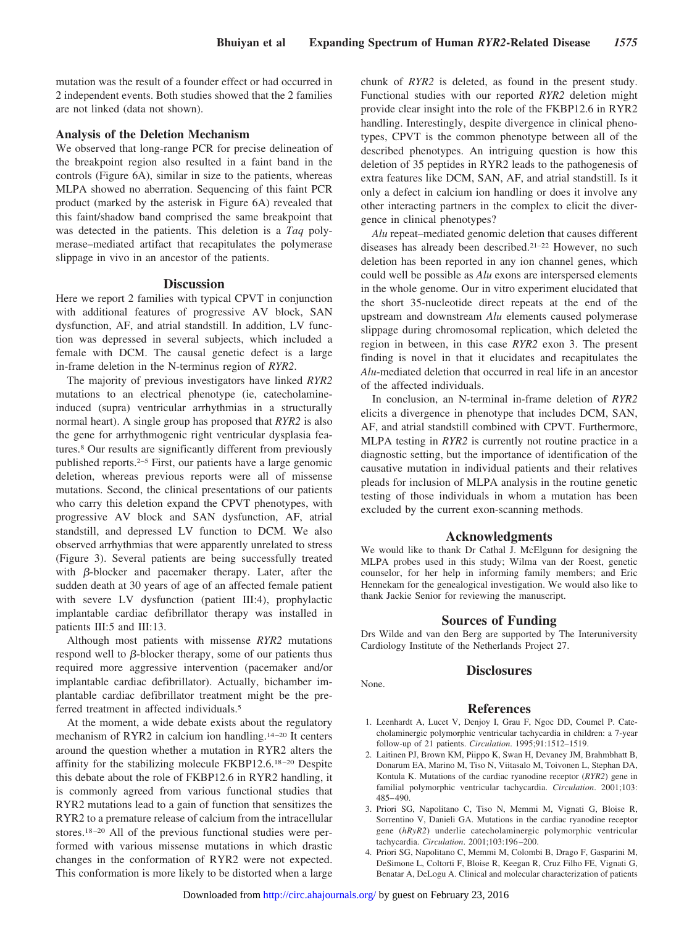mutation was the result of a founder effect or had occurred in 2 independent events. Both studies showed that the 2 families are not linked (data not shown).

#### **Analysis of the Deletion Mechanism**

We observed that long-range PCR for precise delineation of the breakpoint region also resulted in a faint band in the controls (Figure 6A), similar in size to the patients, whereas MLPA showed no aberration. Sequencing of this faint PCR product (marked by the asterisk in Figure 6A) revealed that this faint/shadow band comprised the same breakpoint that was detected in the patients. This deletion is a *Taq* polymerase–mediated artifact that recapitulates the polymerase slippage in vivo in an ancestor of the patients.

# **Discussion**

Here we report 2 families with typical CPVT in conjunction with additional features of progressive AV block, SAN dysfunction, AF, and atrial standstill. In addition, LV function was depressed in several subjects, which included a female with DCM. The causal genetic defect is a large in-frame deletion in the N-terminus region of *RYR2*.

The majority of previous investigators have linked *RYR2* mutations to an electrical phenotype (ie, catecholamineinduced (supra) ventricular arrhythmias in a structurally normal heart). A single group has proposed that *RYR2* is also the gene for arrhythmogenic right ventricular dysplasia features.8 Our results are significantly different from previously published reports.2–5 First, our patients have a large genomic deletion, whereas previous reports were all of missense mutations. Second, the clinical presentations of our patients who carry this deletion expand the CPVT phenotypes, with progressive AV block and SAN dysfunction, AF, atrial standstill, and depressed LV function to DCM. We also observed arrhythmias that were apparently unrelated to stress (Figure 3). Several patients are being successfully treated with  $\beta$ -blocker and pacemaker therapy. Later, after the sudden death at 30 years of age of an affected female patient with severe LV dysfunction (patient III:4), prophylactic implantable cardiac defibrillator therapy was installed in patients III:5 and III:13.

Although most patients with missense *RYR2* mutations respond well to  $\beta$ -blocker therapy, some of our patients thus required more aggressive intervention (pacemaker and/or implantable cardiac defibrillator). Actually, bichamber implantable cardiac defibrillator treatment might be the preferred treatment in affected individuals.5

At the moment, a wide debate exists about the regulatory mechanism of RYR2 in calcium ion handling.<sup>14-20</sup> It centers around the question whether a mutation in RYR2 alters the affinity for the stabilizing molecule FKBP12.6.<sup>18-20</sup> Despite this debate about the role of FKBP12.6 in RYR2 handling, it is commonly agreed from various functional studies that RYR2 mutations lead to a gain of function that sensitizes the RYR2 to a premature release of calcium from the intracellular stores.<sup>18-20</sup> All of the previous functional studies were performed with various missense mutations in which drastic changes in the conformation of RYR2 were not expected. This conformation is more likely to be distorted when a large chunk of *RYR2* is deleted, as found in the present study. Functional studies with our reported *RYR2* deletion might provide clear insight into the role of the FKBP12.6 in RYR2 handling. Interestingly, despite divergence in clinical phenotypes, CPVT is the common phenotype between all of the described phenotypes. An intriguing question is how this deletion of 35 peptides in RYR2 leads to the pathogenesis of extra features like DCM, SAN, AF, and atrial standstill. Is it only a defect in calcium ion handling or does it involve any other interacting partners in the complex to elicit the divergence in clinical phenotypes?

*Alu* repeat–mediated genomic deletion that causes different diseases has already been described.21–22 However, no such deletion has been reported in any ion channel genes, which could well be possible as *Alu* exons are interspersed elements in the whole genome. Our in vitro experiment elucidated that the short 35-nucleotide direct repeats at the end of the upstream and downstream *Alu* elements caused polymerase slippage during chromosomal replication, which deleted the region in between, in this case *RYR2* exon 3. The present finding is novel in that it elucidates and recapitulates the *Alu*-mediated deletion that occurred in real life in an ancestor of the affected individuals.

In conclusion, an N-terminal in-frame deletion of *RYR2* elicits a divergence in phenotype that includes DCM, SAN, AF, and atrial standstill combined with CPVT. Furthermore, MLPA testing in *RYR2* is currently not routine practice in a diagnostic setting, but the importance of identification of the causative mutation in individual patients and their relatives pleads for inclusion of MLPA analysis in the routine genetic testing of those individuals in whom a mutation has been excluded by the current exon-scanning methods.

#### **Acknowledgments**

We would like to thank Dr Cathal J. McElgunn for designing the MLPA probes used in this study; Wilma van der Roest, genetic counselor, for her help in informing family members; and Eric Hennekam for the genealogical investigation. We would also like to thank Jackie Senior for reviewing the manuscript.

#### **Sources of Funding**

Drs Wilde and van den Berg are supported by The Interuniversity Cardiology Institute of the Netherlands Project 27.

# **Disclosures**

#### **References**

- 1. Leenhardt A, Lucet V, Denjoy I, Grau F, Ngoc DD, Coumel P. Catecholaminergic polymorphic ventricular tachycardia in children: a 7-year follow-up of 21 patients. *Circulation*. 1995;91:1512–1519.
- 2. Laitinen PJ, Brown KM, Piippo K, Swan H, Devaney JM, Brahmbhatt B, Donarum EA, Marino M, Tiso N, Viitasalo M, Toivonen L, Stephan DA, Kontula K. Mutations of the cardiac ryanodine receptor (*RYR2*) gene in familial polymorphic ventricular tachycardia. *Circulation*. 2001;103: 485– 490.
- 3. Priori SG, Napolitano C, Tiso N, Memmi M, Vignati G, Bloise R, Sorrentino V, Danieli GA. Mutations in the cardiac ryanodine receptor gene (*hRyR2*) underlie catecholaminergic polymorphic ventricular tachycardia. *Circulation*. 2001;103:196 –200.
- 4. Priori SG, Napolitano C, Memmi M, Colombi B, Drago F, Gasparini M, DeSimone L, Coltorti F, Bloise R, Keegan R, Cruz Filho FE, Vignati G, Benatar A, DeLogu A. Clinical and molecular characterization of patients

None.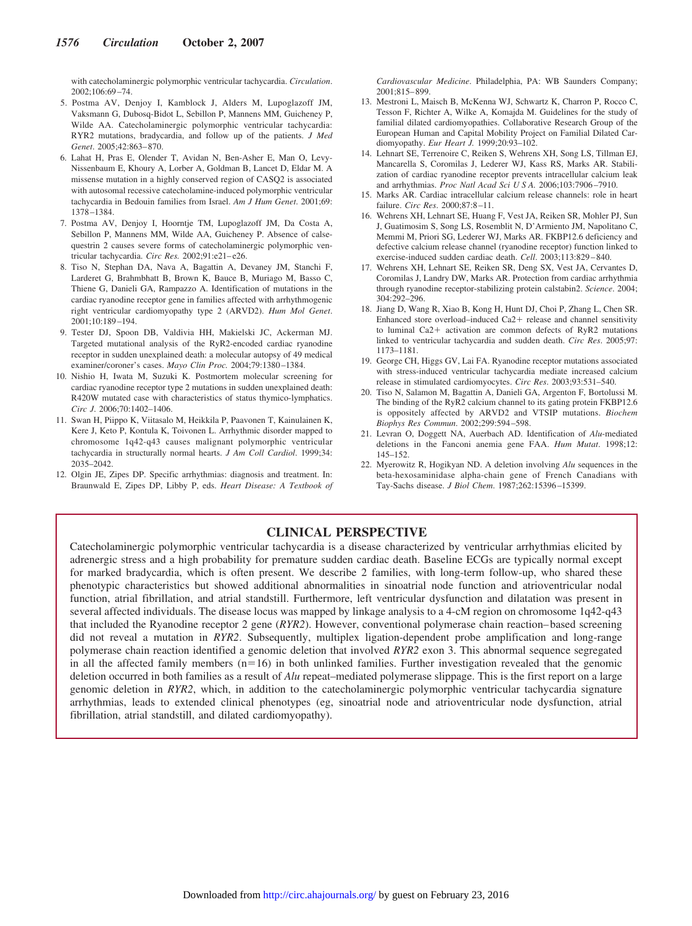with catecholaminergic polymorphic ventricular tachycardia. *Circulation*. 2002;106:69 –74.

- 5. Postma AV, Denjoy I, Kamblock J, Alders M, Lupoglazoff JM, Vaksmann G, Dubosq-Bidot L, Sebillon P, Mannens MM, Guicheney P, Wilde AA. Catecholaminergic polymorphic ventricular tachycardia: RYR2 mutations, bradycardia, and follow up of the patients. *J Med Genet*. 2005;42:863– 870.
- 6. Lahat H, Pras E, Olender T, Avidan N, Ben-Asher E, Man O, Levy-Nissenbaum E, Khoury A, Lorber A, Goldman B, Lancet D, Eldar M. A missense mutation in a highly conserved region of CASQ2 is associated with autosomal recessive catecholamine-induced polymorphic ventricular tachycardia in Bedouin families from Israel. *Am J Hum Genet*. 2001;69: 1378 –1384.
- 7. Postma AV, Denjoy I, Hoorntje TM, Lupoglazoff JM, Da Costa A, Sebillon P, Mannens MM, Wilde AA, Guicheney P. Absence of calsequestrin 2 causes severe forms of catecholaminergic polymorphic ventricular tachycardia. *Circ Res.* 2002;91:e21-e26.
- 8. Tiso N, Stephan DA, Nava A, Bagattin A, Devaney JM, Stanchi F, Larderet G, Brahmbhatt B, Brown K, Bauce B, Muriago M, Basso C, Thiene G, Danieli GA, Rampazzo A. Identification of mutations in the cardiac ryanodine receptor gene in families affected with arrhythmogenic right ventricular cardiomyopathy type 2 (ARVD2). *Hum Mol Genet*. 2001;10:189 –194.
- 9. Tester DJ, Spoon DB, Valdivia HH, Makielski JC, Ackerman MJ. Targeted mutational analysis of the RyR2-encoded cardiac ryanodine receptor in sudden unexplained death: a molecular autopsy of 49 medical examiner/coroner's cases. *Mayo Clin Proc.* 2004;79:1380 –1384.
- 10. Nishio H, Iwata M, Suzuki K. Postmortem molecular screening for cardiac ryanodine receptor type 2 mutations in sudden unexplained death: R420W mutated case with characteristics of status thymico-lymphatics. *Circ J*. 2006;70:1402–1406.
- 11. Swan H, Piippo K, Viitasalo M, Heikkila P, Paavonen T, Kainulainen K, Kere J, Keto P, Kontula K, Toivonen L. Arrhythmic disorder mapped to chromosome 1q42-q43 causes malignant polymorphic ventricular tachycardia in structurally normal hearts. *J Am Coll Cardiol*. 1999;34: 2035–2042.
- 12. Olgin JE, Zipes DP. Specific arrhythmias: diagnosis and treatment. In: Braunwald E, Zipes DP, Libby P, eds. *Heart Disease: A Textbook of*

*Cardiovascular Medicine*. Philadelphia, PA: WB Saunders Company; 2001;815– 899.

- 13. Mestroni L, Maisch B, McKenna WJ, Schwartz K, Charron P, Rocco C, Tesson F, Richter A, Wilke A, Komajda M. Guidelines for the study of familial dilated cardiomyopathies. Collaborative Research Group of the European Human and Capital Mobility Project on Familial Dilated Cardiomyopathy. *Eur Heart J.* 1999;20:93–102.
- 14. Lehnart SE, Terrenoire C, Reiken S, Wehrens XH, Song LS, Tillman EJ, Mancarella S, Coromilas J, Lederer WJ, Kass RS, Marks AR. Stabilization of cardiac ryanodine receptor prevents intracellular calcium leak and arrhythmias. *Proc Natl Acad Sci U S A.* 2006;103:7906 –7910.
- 15. Marks AR. Cardiac intracellular calcium release channels: role in heart failure. *Circ Res*. 2000;87:8 –11.
- 16. Wehrens XH, Lehnart SE, Huang F, Vest JA, Reiken SR, Mohler PJ, Sun J, Guatimosim S, Song LS, Rosemblit N, D'Armiento JM, Napolitano C, Memmi M, Priori SG, Lederer WJ, Marks AR. FKBP12.6 deficiency and defective calcium release channel (ryanodine receptor) function linked to exercise-induced sudden cardiac death. *Cell*. 2003;113:829 – 840.
- 17. Wehrens XH, Lehnart SE, Reiken SR, Deng SX, Vest JA, Cervantes D, Coromilas J, Landry DW, Marks AR. Protection from cardiac arrhythmia through ryanodine receptor-stabilizing protein calstabin2. *Science*. 2004; 304:292–296.
- 18. Jiang D, Wang R, Xiao B, Kong H, Hunt DJ, Choi P, Zhang L, Chen SR. Enhanced store overload–induced Ca2+ release and channel sensitivity to luminal Ca2+ activation are common defects of RyR2 mutations linked to ventricular tachycardia and sudden death. *Circ Res*. 2005;97: 1173–1181.
- 19. George CH, Higgs GV, Lai FA. Ryanodine receptor mutations associated with stress-induced ventricular tachycardia mediate increased calcium release in stimulated cardiomyocytes. *Circ Res*. 2003;93:531–540.
- 20. Tiso N, Salamon M, Bagattin A, Danieli GA, Argenton F, Bortolussi M. The binding of the RyR2 calcium channel to its gating protein FKBP12.6 is oppositely affected by ARVD2 and VTSIP mutations. *Biochem Biophys Res Commun*. 2002;299:594 –598.
- 21. Levran O, Doggett NA, Auerbach AD. Identification of *Alu*-mediated deletions in the Fanconi anemia gene FAA. *Hum Mutat*. 1998;12: 145–152.
- 22. Myerowitz R, Hogikyan ND. A deletion involving *Alu* sequences in the beta-hexosaminidase alpha-chain gene of French Canadians with Tay-Sachs disease. *J Biol Chem*. 1987;262:15396 –15399.

# **CLINICAL PERSPECTIVE**

Catecholaminergic polymorphic ventricular tachycardia is a disease characterized by ventricular arrhythmias elicited by adrenergic stress and a high probability for premature sudden cardiac death. Baseline ECGs are typically normal except for marked bradycardia, which is often present. We describe 2 families, with long-term follow-up, who shared these phenotypic characteristics but showed additional abnormalities in sinoatrial node function and atrioventricular nodal function, atrial fibrillation, and atrial standstill. Furthermore, left ventricular dysfunction and dilatation was present in several affected individuals. The disease locus was mapped by linkage analysis to a 4-cM region on chromosome 1q42-q43 that included the Ryanodine receptor 2 gene (*RYR2*). However, conventional polymerase chain reaction– based screening did not reveal a mutation in *RYR2*. Subsequently, multiplex ligation-dependent probe amplification and long-range polymerase chain reaction identified a genomic deletion that involved *RYR2* exon 3. This abnormal sequence segregated in all the affected family members  $(n=16)$  in both unlinked families. Further investigation revealed that the genomic deletion occurred in both families as a result of *Alu* repeat–mediated polymerase slippage. This is the first report on a large genomic deletion in *RYR2*, which, in addition to the catecholaminergic polymorphic ventricular tachycardia signature arrhythmias, leads to extended clinical phenotypes (eg, sinoatrial node and atrioventricular node dysfunction, atrial fibrillation, atrial standstill, and dilated cardiomyopathy).